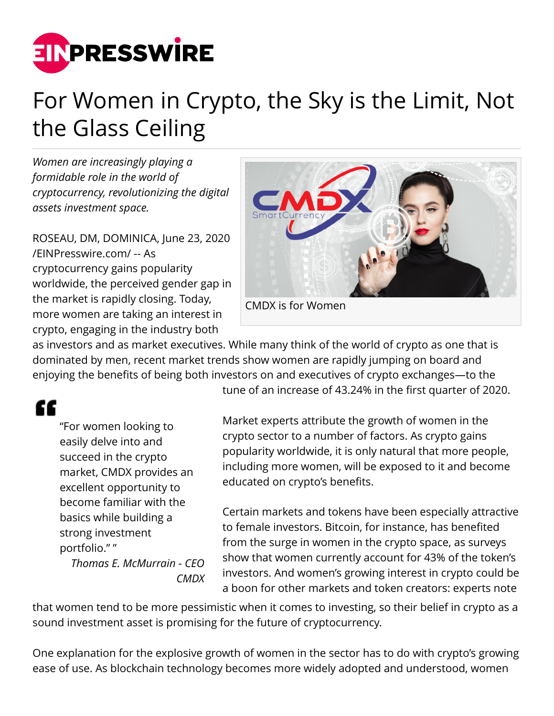

## For Women in Crypto, the Sky is the Limit, Not the Glass Ceiling

*Women are increasingly playing a formidable role in the world of cryptocurrency, revolutionizing the digital assets investment space.*

ROSEAU, DM, DOMINICA, June 23, 2020 [/EINPresswire.com/](http://www.einpresswire.com) -- As cryptocurrency gains popularity worldwide, the perceived gender gap in the market is rapidly closing. Today, more women are taking an interest in crypto, engaging in the industry both



CMDX is for Women

as investors and as market executives. While many think of the world of crypto as one that is dominated by men, recent market trends show women are rapidly jumping on board and enjoying the benefits of being both investors on and executives of crypto exchanges—to the

## ££

"For women looking to easily delve into and succeed in the crypto market, CMDX provides an excellent opportunity to become familiar with the basics while building a strong investment portfolio." "

*Thomas E. McMurrain - CEO CMDX* tune of an increase of 43.24% in the first quarter of 2020.

Market experts attribute the growth of women in the crypto sector to a number of factors. As crypto gains popularity worldwide, it is only natural that more people, including more women, will be exposed to it and become educated on crypto's benefits.

Certain markets and tokens have been especially attractive to female investors. Bitcoin, for instance, has benefited from the surge in women in the crypto space, as surveys show that women currently account for 43% of the token's investors. And women's growing interest in crypto could be a boon for other markets and token creators: experts note

that women tend to be more pessimistic when it comes to investing, so their belief in crypto as a sound investment asset is promising for the future of cryptocurrency.

One explanation for the explosive growth of women in the sector has to do with crypto's growing ease of use. As blockchain technology becomes more widely adopted and understood, women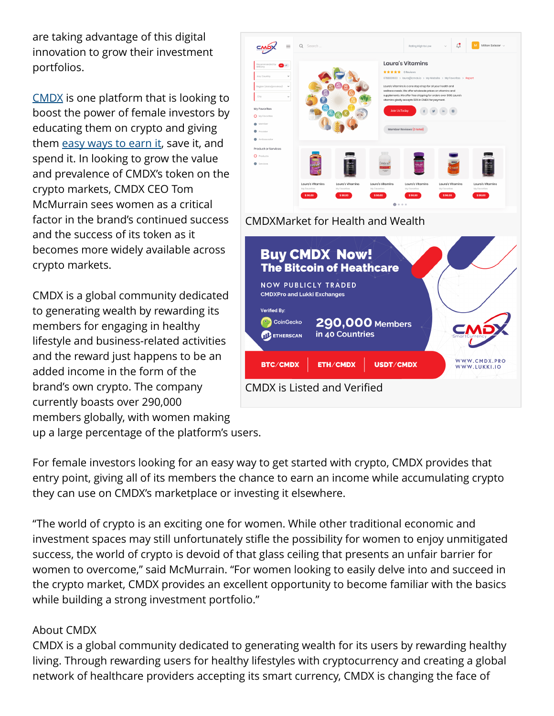are taking advantage of this digital innovation to grow their investment portfolios.

[CMDX](https://www.cmdx.io/blog) is one platform that is looking to boost the power of female investors by educating them on crypto and giving them [easy ways to earn it](https://cmdx.io/blog/healthy-wealthy-and-fit-cmdx-embraces-wearable-tech-to-boost-members-rewards), save it, and spend it. In looking to grow the value and prevalence of CMDX's token on the crypto markets, CMDX CEO Tom McMurrain sees women as a critical factor in the brand's continued success and the success of its token as it becomes more widely available across crypto markets.

CMDX is a global community dedicated to generating wealth by rewarding its members for engaging in healthy lifestyle and business-related activities and the reward just happens to be an added income in the form of the brand's own crypto. The company currently boasts over 290,000 members globally, with women making up a large percentage of the platform's users.

For female investors looking for an easy way to get started with crypto, CMDX provides that entry point, giving all of its members the chance to earn an income while accumulating crypto they can use on CMDX's marketplace or investing it elsewhere.

"The world of crypto is an exciting one for women. While other traditional economic and investment spaces may still unfortunately stifle the possibility for women to enjoy unmitigated success, the world of crypto is devoid of that glass ceiling that presents an unfair barrier for women to overcome," said McMurrain. "For women looking to easily delve into and succeed in the crypto market, CMDX provides an excellent opportunity to become familiar with the basics while building a strong investment portfolio."

## About CMDX

CMDX is a global community dedicated to generating wealth for its users by rewarding healthy living. Through rewarding users for healthy lifestyles with cryptocurrency and creating a global network of healthcare providers accepting its smart currency, CMDX is changing the face of